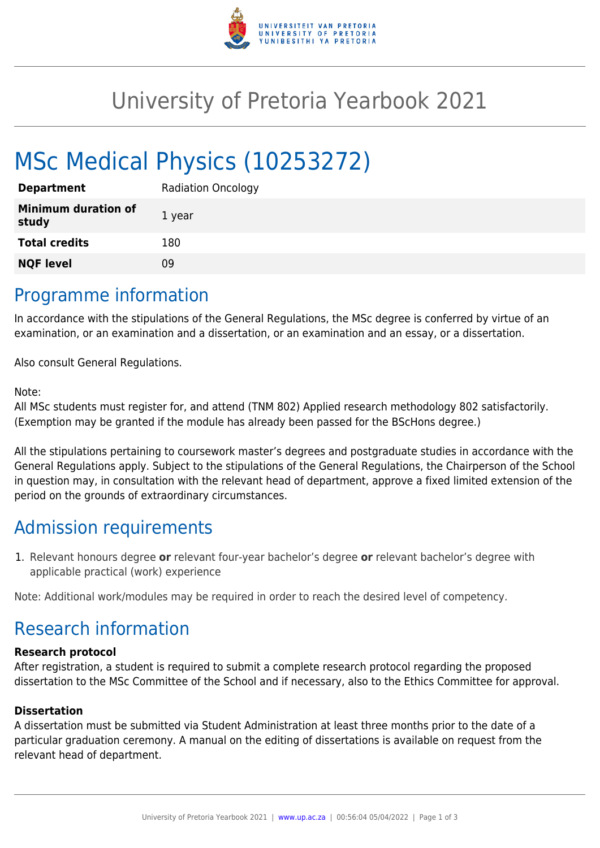

## University of Pretoria Yearbook 2021

# MSc Medical Physics (10253272)

| <b>Department</b>                   | <b>Radiation Oncology</b> |
|-------------------------------------|---------------------------|
| <b>Minimum duration of</b><br>study | 1 year                    |
| <b>Total credits</b>                | 180                       |
| <b>NQF level</b>                    | ΩÓ                        |

### Programme information

In accordance with the stipulations of the General Regulations, the MSc degree is conferred by virtue of an examination, or an examination and a dissertation, or an examination and an essay, or a dissertation.

Also consult General Regulations.

#### Note:

All MSc students must register for, and attend (TNM 802) Applied research methodology 802 satisfactorily. (Exemption may be granted if the module has already been passed for the BScHons degree.)

All the stipulations pertaining to coursework master's degrees and postgraduate studies in accordance with the General Regulations apply. Subject to the stipulations of the General Regulations, the Chairperson of the School in question may, in consultation with the relevant head of department, approve a fixed limited extension of the period on the grounds of extraordinary circumstances.

## Admission requirements

1. Relevant honours degree **or** relevant four-year bachelor's degree **or** relevant bachelor's degree with applicable practical (work) experience

Note: Additional work/modules may be required in order to reach the desired level of competency.

## Research information

#### **Research protocol**

After registration, a student is required to submit a complete research protocol regarding the proposed dissertation to the MSc Committee of the School and if necessary, also to the Ethics Committee for approval.

#### **Dissertation**

A dissertation must be submitted via Student Administration at least three months prior to the date of a particular graduation ceremony. A manual on the editing of dissertations is available on request from the relevant head of department.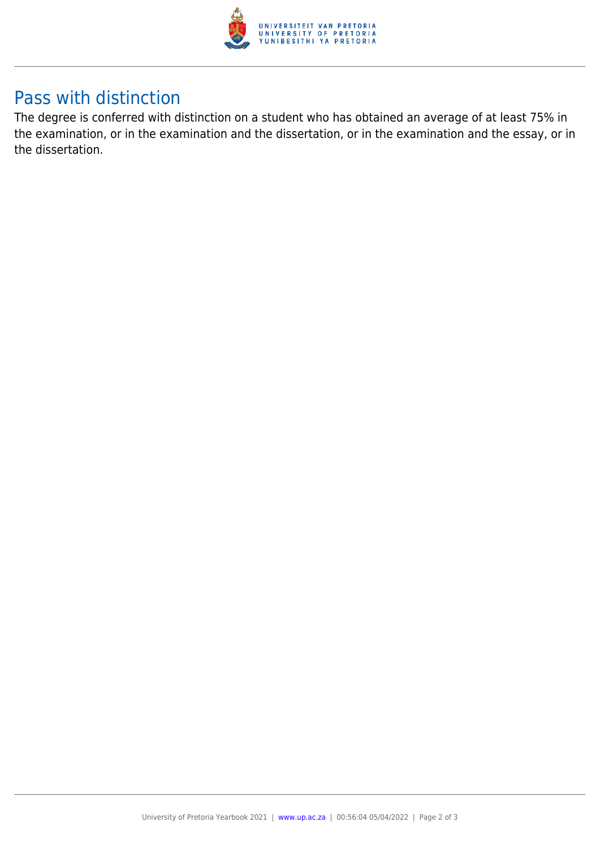

## Pass with distinction

The degree is conferred with distinction on a student who has obtained an average of at least 75% in the examination, or in the examination and the dissertation, or in the examination and the essay, or in the dissertation.